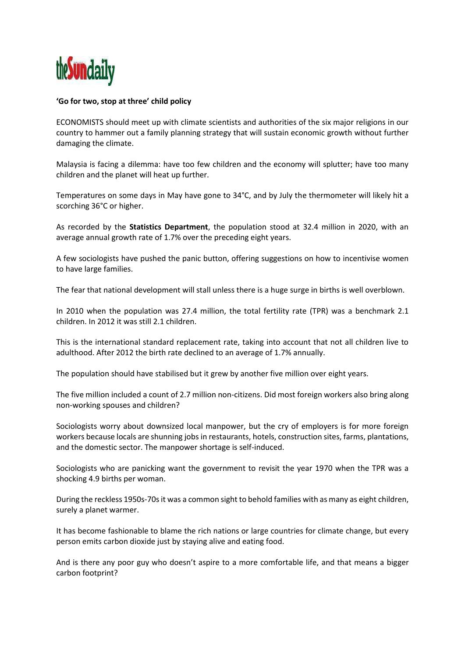

## **'Go for two, stop at three' child policy**

ECONOMISTS should meet up with climate scientists and authorities of the six major religions in our country to hammer out a family planning strategy that will sustain economic growth without further damaging the climate.

Malaysia is facing a dilemma: have too few children and the economy will splutter; have too many children and the planet will heat up further.

Temperatures on some days in May have gone to 34°C, and by July the thermometer will likely hit a scorching 36°C or higher.

As recorded by the **Statistics Department**, the population stood at 32.4 million in 2020, with an average annual growth rate of 1.7% over the preceding eight years.

A few sociologists have pushed the panic button, offering suggestions on how to incentivise women to have large families.

The fear that national development will stall unless there is a huge surge in births is well overblown.

In 2010 when the population was 27.4 million, the total fertility rate (TPR) was a benchmark 2.1 children. In 2012 it was still 2.1 children.

This is the international standard replacement rate, taking into account that not all children live to adulthood. After 2012 the birth rate declined to an average of 1.7% annually.

The population should have stabilised but it grew by another five million over eight years.

The five million included a count of 2.7 million non-citizens. Did most foreign workers also bring along non-working spouses and children?

Sociologists worry about downsized local manpower, but the cry of employers is for more foreign workers because locals are shunning jobs in restaurants, hotels, construction sites, farms, plantations, and the domestic sector. The manpower shortage is self-induced.

Sociologists who are panicking want the government to revisit the year 1970 when the TPR was a shocking 4.9 births per woman.

During the reckless 1950s-70s it was a common sight to behold families with as many as eight children, surely a planet warmer.

It has become fashionable to blame the rich nations or large countries for climate change, but every person emits carbon dioxide just by staying alive and eating food.

And is there any poor guy who doesn't aspire to a more comfortable life, and that means a bigger carbon footprint?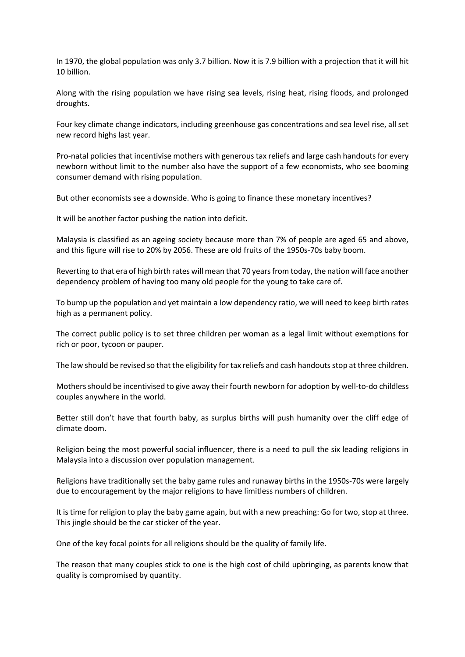In 1970, the global population was only 3.7 billion. Now it is 7.9 billion with a projection that it will hit 10 billion.

Along with the rising population we have rising sea levels, rising heat, rising floods, and prolonged droughts.

Four key climate change indicators, including greenhouse gas concentrations and sea level rise, all set new record highs last year.

Pro-natal policies that incentivise mothers with generous tax reliefs and large cash handouts for every newborn without limit to the number also have the support of a few economists, who see booming consumer demand with rising population.

But other economists see a downside. Who is going to finance these monetary incentives?

It will be another factor pushing the nation into deficit.

Malaysia is classified as an ageing society because more than 7% of people are aged 65 and above, and this figure will rise to 20% by 2056. These are old fruits of the 1950s-70s baby boom.

Reverting to that era of high birth rates will mean that 70 years from today, the nation will face another dependency problem of having too many old people for the young to take care of.

To bump up the population and yet maintain a low dependency ratio, we will need to keep birth rates high as a permanent policy.

The correct public policy is to set three children per woman as a legal limit without exemptions for rich or poor, tycoon or pauper.

The law should be revised so that the eligibility for tax reliefs and cash handouts stop at three children.

Mothers should be incentivised to give away their fourth newborn for adoption by well-to-do childless couples anywhere in the world.

Better still don't have that fourth baby, as surplus births will push humanity over the cliff edge of climate doom.

Religion being the most powerful social influencer, there is a need to pull the six leading religions in Malaysia into a discussion over population management.

Religions have traditionally set the baby game rules and runaway births in the 1950s-70s were largely due to encouragement by the major religions to have limitless numbers of children.

It is time for religion to play the baby game again, but with a new preaching: Go for two, stop at three. This jingle should be the car sticker of the year.

One of the key focal points for all religions should be the quality of family life.

The reason that many couples stick to one is the high cost of child upbringing, as parents know that quality is compromised by quantity.